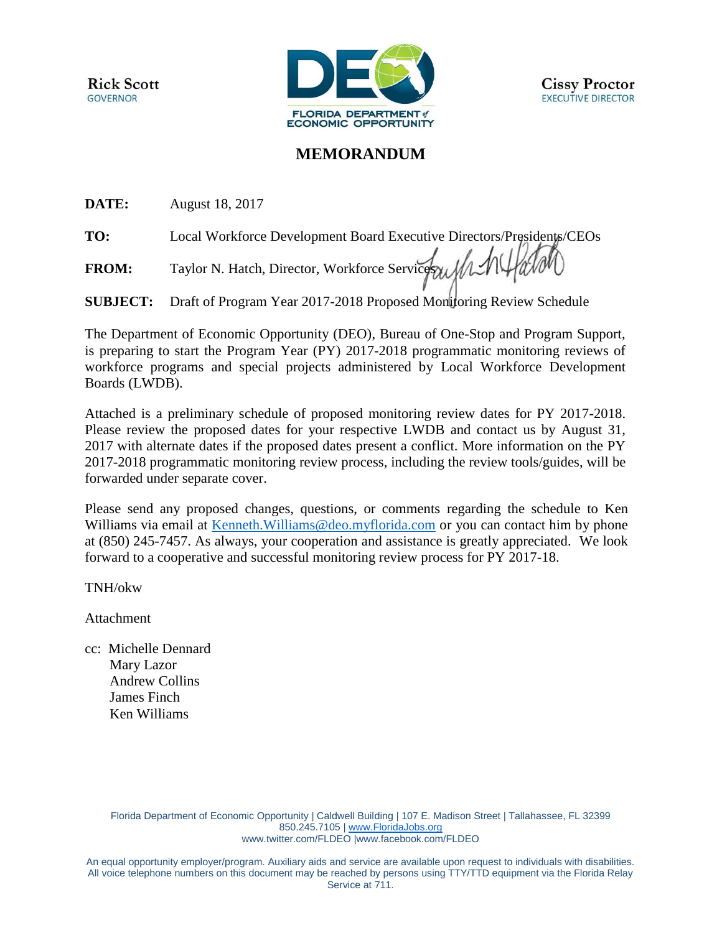**Rick Scott GOVERNOR** 



## **MEMORANDUM**

**DATE:** August 18, 2017

**TO:** Local Workforce Development Board Executive Directors/Presidents/CEOs

FROM: Taylor N. Hatch, Director, Workforce Services 11

**SUBJECT:** Draft of Program Year 2017-2018 Proposed Monitoring Review Schedule

The Department of Economic Opportunity (DEO), Bureau of One-Stop and Program Support, is preparing to start the Program Year (PY) 2017-2018 programmatic monitoring reviews of workforce programs and special projects administered by Local Workforce Development Boards (LWDB).

Attached is a preliminary schedule of proposed monitoring review dates for PY 2017-2018. Please review the proposed dates for your respective LWDB and contact us by August 31, 2017 with alternate dates if the proposed dates present a conflict. More information on the PY 2017-2018 programmatic monitoring review process, including the review tools/guides, will be forwarded under separate cover.

Please send any proposed changes, questions, or comments regarding the schedule to Ken Williams via email at [Kenneth.Williams@deo.myflorida.com](mailto:Kenneth.Williams@deo.myflorida.com) or you can contact him by phone at (850) 245-7457. As always, your cooperation and assistance is greatly appreciated. We look forward to a cooperative and successful monitoring review process for PY 2017-18.

TNH/okw

Attachment

cc: Michelle Dennard Mary Lazor Andrew Collins James Finch Ken Williams

> Florida Department of Economic Opportunity | Caldwell Building | 107 E. Madison Street | Tallahassee, FL 32399 850.245.7105 | [www.FloridaJobs.org](http://www.floridajobs.org/) [www.twitter.com/FLDEO](http://www.twitter.com/FLDEO) |www.facebook.com/FLDEO

An equal opportunity employer/program. Auxiliary aids and service are available upon request to individuals with disabilities. All voice telephone numbers on this document may be reached by persons using TTY/TTD equipment via the Florida Relay Service at 711.